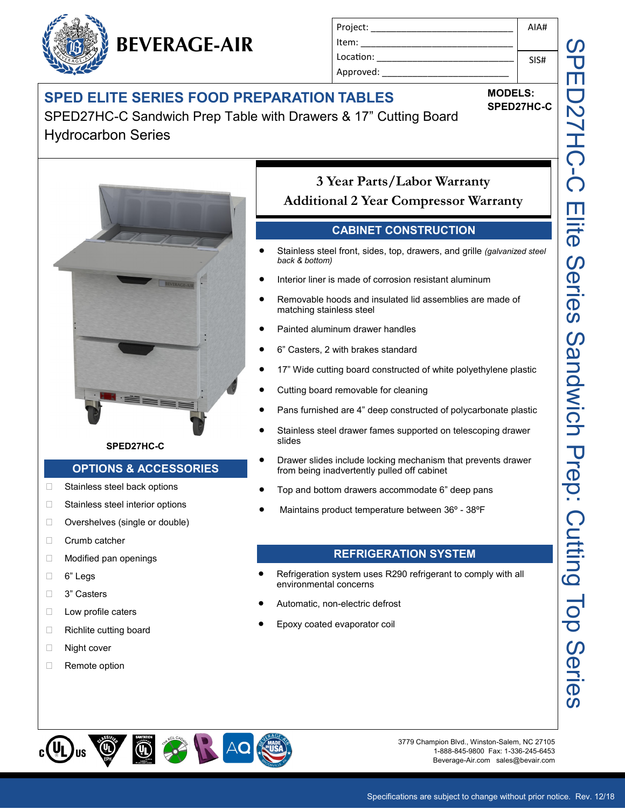## **SPED ELITE SERIES FOOD PREPARATION TABLES**

**BEVERAGE-AIR**

SPED27HC-C Sandwich Prep Table with Drawers & 17" Cutting Board Hydrocarbon Series



#### **SPED27HC-C**

#### **OPTIONS & ACCESSORIES**

- □ Stainless steel back options
- □ Stainless steel interior options
- □ Overshelves (single or double)
- D Crumb catcher
- □ Modified pan openings
- 6" Legs
- □ 3" Casters
- **Low profile caters**
- □ Richlite cutting board
- □ Night cover
- Remote option

#### Project: \_\_\_\_\_\_\_\_\_\_\_\_\_\_\_\_\_\_\_\_\_\_\_\_\_\_\_\_ Item: Location: Approved: AIA# SIS#

**MODELS: SPED27HC-C**

## **3 Year Parts/Labor Warranty Additional 2 Year Compressor Warranty**

#### **CABINET CONSTRUCTION**

- Stainless steel front, sides, top, drawers, and grille *(galvanized steel back & bottom)*
- Interior liner is made of corrosion resistant aluminum
- Removable hoods and insulated lid assemblies are made of matching stainless steel
- Painted aluminum drawer handles
- 6" Casters, 2 with brakes standard
- 17" Wide cutting board constructed of white polyethylene plastic
- Cutting board removable for cleaning
- Pans furnished are 4" deep constructed of polycarbonate plastic
- Stainless steel drawer fames supported on telescoping drawer slides
- Drawer slides include locking mechanism that prevents drawer from being inadvertently pulled off cabinet
- Top and bottom drawers accommodate 6" deep pans
- Maintains product temperature between 36º 38ºF

#### **REFRIGERATION SYSTEM**

- Refrigeration system uses R290 refrigerant to comply with all environmental concerns
- Automatic, non-electric defrost
- Epoxy coated evaporator coil



3779 Champion Blvd., Winston-Salem, NC 27105 1-888-845-9800 Fax: 1-336-245-6453 Beverage-Air.com sales@bevair.com